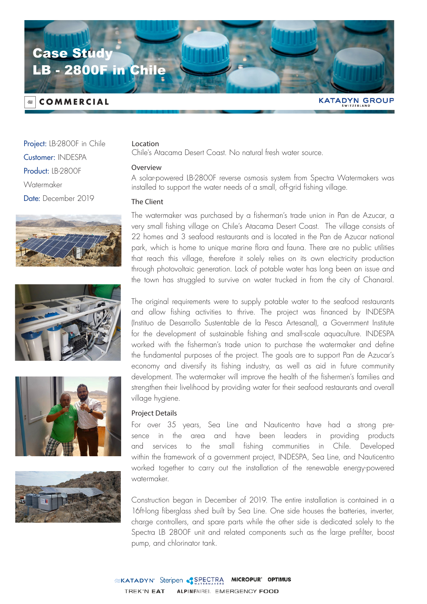

# **COMMERCIAL**

**KATADYN GROUP** 

Project: LB-2800F in Chile Customer: INDESPA Product: IB-2800F **Watermaker** Date: December 2019









## Location

Chile's Atacama Desert Coast. No natural fresh water source.

#### Overview

A solar-powered LB-2800F reverse osmosis system from Spectra Watermakers was installed to support the water needs of a small, off-grid fishing village.

#### The Client

The watermaker was purchased by a fisherman's trade union in Pan de Azucar, a very small fishing village on Chile's Atacama Desert Coast. The village consists of 22 homes and 3 seafood restaurants and is located in the Pan de Azucar national park, which is home to unique marine flora and fauna. There are no public utilities that reach this village, therefore it solely relies on its own electricity production through photovoltaic generation. Lack of potable water has long been an issue and the town has struggled to survive on water trucked in from the city of Chanaral.

The original requirements were to supply potable water to the seafood restaurants and allow fishing activities to thrive. The project was financed by INDESPA (Instituo de Desarrollo Sustentable de la Pesca Artesanal), a Government Institute for the development of sustainable fishing and small-scale aquaculture. INDESPA worked with the fisherman's trade union to purchase the watermaker and define the fundamental purposes of the project. The goals are to support Pan de Azucar's economy and diversify its fishing industry, as well as aid in future community development. The watermaker will improve the health of the fishermen's families and strengthen their livelihood by providing water for their seafood restaurants and overall village hygiene.

## Project Details

For over 35 years, Sea Line and Nauticentro have had a strong presence in the area and have been leaders in providing products and services to the small fishing communities in Chile. Developed within the framework of a government project, INDESPA, Sea Line, and Nauticentro worked together to carry out the installation of the renewable energy-powered watermaker.

Construction began in December of 2019. The entire installation is contained in a 16ft-long fiberglass shed built by Sea Line. One side houses the batteries, inverter, charge controllers, and spare parts while the other side is dedicated solely to the Spectra LB 2800F unit and related components such as the large prefilter, boost pump, and chlorinator tank.